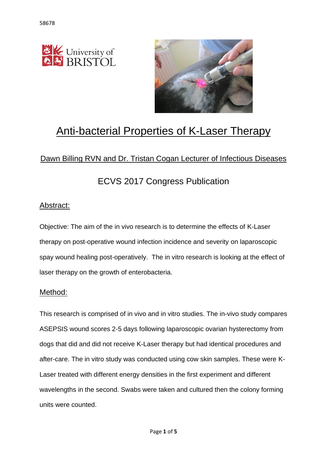



# Anti-bacterial Properties of K-Laser Therapy

# Dawn Billing RVN and Dr. Tristan Cogan Lecturer of Infectious Diseases

# ECVS 2017 Congress Publication

### Abstract:

Objective: The aim of the in vivo research is to determine the effects of K-Laser therapy on post-operative wound infection incidence and severity on laparoscopic spay wound healing post-operatively. The in vitro research is looking at the effect of laser therapy on the growth of enterobacteria.

#### Method:

This research is comprised of in vivo and in vitro studies. The in-vivo study compares ASEPSIS wound scores 2-5 days following laparoscopic ovarian hysterectomy from dogs that did and did not receive K-Laser therapy but had identical procedures and after-care. The in vitro study was conducted using cow skin samples. These were K-Laser treated with different energy densities in the first experiment and different wavelengths in the second. Swabs were taken and cultured then the colony forming units were counted.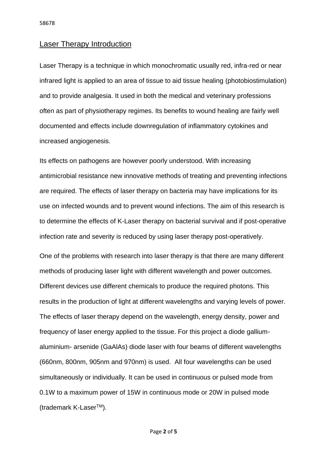#### Laser Therapy Introduction

Laser Therapy is a technique in which monochromatic usually red, infra-red or near infrared light is applied to an area of tissue to aid tissue healing (photobiostimulation) and to provide analgesia. It used in both the medical and veterinary professions often as part of physiotherapy regimes. Its benefits to wound healing are fairly well documented and effects include downregulation of inflammatory cytokines and increased angiogenesis.

Its effects on pathogens are however poorly understood. With increasing antimicrobial resistance new innovative methods of treating and preventing infections are required. The effects of laser therapy on bacteria may have implications for its use on infected wounds and to prevent wound infections. The aim of this research is to determine the effects of K-Laser therapy on bacterial survival and if post-operative infection rate and severity is reduced by using laser therapy post-operatively.

One of the problems with research into laser therapy is that there are many different methods of producing laser light with different wavelength and power outcomes. Different devices use different chemicals to produce the required photons. This results in the production of light at different wavelengths and varying levels of power. The effects of laser therapy depend on the wavelength, energy density, power and frequency of laser energy applied to the tissue. For this project a diode galliumaluminium- arsenide (GaAlAs) diode laser with four beams of different wavelengths (660nm, 800nm, 905nm and 970nm) is used. All four wavelengths can be used simultaneously or individually. It can be used in continuous or pulsed mode from 0.1W to a maximum power of 15W in continuous mode or 20W in pulsed mode (trademark K-LaserTM).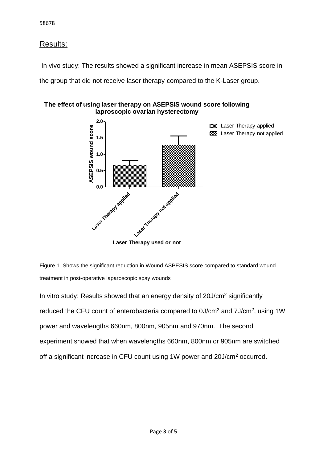# Results:

In vivo study: The results showed a significant increase in mean ASEPSIS score in

the group that did not receive laser therapy compared to the K-Laser group.



**The effect of using laser therapy on ASEPSIS wound score following laproscopic ovarian hysterectomy**

Figure 1. Shows the significant reduction in Wound ASPESIS score compared to standard wound treatment in post-operative laparoscopic spay wounds

In vitro study: Results showed that an energy density of 20J/cm<sup>2</sup> significantly reduced the CFU count of enterobacteria compared to  $0J/cm<sup>2</sup>$  and  $7J/cm<sup>2</sup>$ , using 1W power and wavelengths 660nm, 800nm, 905nm and 970nm. The second experiment showed that when wavelengths 660nm, 800nm or 905nm are switched off a significant increase in CFU count using 1W power and 20J/cm<sup>2</sup> occurred.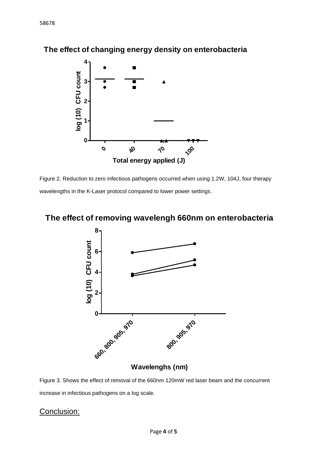

# **The effect of changing energy density on enterobacteria**

Figure 2. Reduction to zero infectious pathogens occurred when using 1.2W, 104J, four therapy wavelengths in the K-Laser protocol compared to lower power settings.

# **The effect of removing wavelengh 660nm on enterobacteria**



Figure 3. Shows the effect of removal of the 660nm 120mW red laser beam and the concurrent increase in infectious pathogens on a log scale.

### Conclusion: